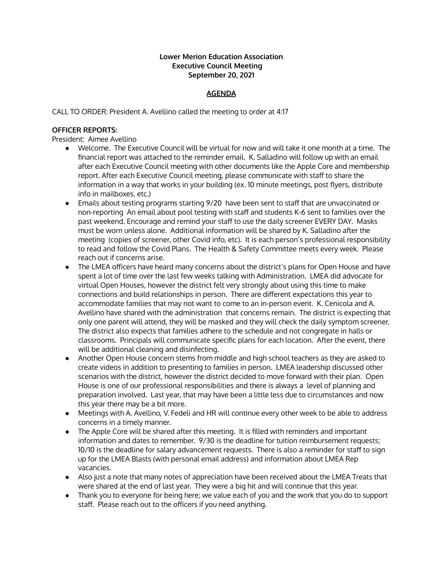#### **Lower Merion Education Association Executive Council Meeting September 20, 2021**

## **AGENDA**

CALL TO ORDER: President A. Avellino called the meeting to order at 4:17

#### **OFFICER REPORTS:**

President: Aimee Avellino

- Welcome. The Executive Council will be virtual for now and will take it one month at a time. The financial report was attached to the reminder email. K. Salladino will follow up with an email after each Executive Council meeting with other documents like the Apple Core and membership report. After each Executive Council meeting, please communicate with staff to share the information in a way that works in your building (ex. 10 minute meetings, post flyers, distribute info in mailboxes, etc.)
- Emails about testing programs starting 9/20 have been sent to staff that are unvaccinated or non-reporting An email about pool testing with staff and students K-6 sent to families over the past weekend. Encourage and remind your staff to use the daily screener EVERY DAY. Masks must be worn unless alone. Additional information will be shared by K. Salladino after the meeting (copies of screener, other Covid info, etc). It is each person's professional responsibility to read and follow the Covid Plans. The Health & Safety Committee meets every week. Please reach out if concerns arise.
- The LMEA officers have heard many concerns about the district's plans for Open House and have spent a lot of time over the last few weeks talking with Administration. LMEA did advocate for virtual Open Houses, however the district felt very strongly about using this time to make connections and build relationships in person. There are different expectations this year to accommodate families that may not want to come to an in-person event. K. Cenicola and A. Avellino have shared with the administration that concerns remain. The district is expecting that only one parent will attend, they will be masked and they will check the daily symptom screener. The district also expects that families adhere to the schedule and not congregate in halls or classrooms. Principals will communicate specific plans for each location. After the event, there will be additional cleaning and disinfecting.
- Another Open House concern stems from middle and high school teachers as they are asked to create videos in addition to presenting to families in person. LMEA leadership discussed other scenarios with the district, however the district decided to move forward with their plan. Open House is one of our professional responsibilities and there is always a level of planning and preparation involved. Last year, that may have been a little less due to circumstances and now this year there may be a bit more.
- Meetings with A. Avellino, V. Fedeli and HR will continue every other week to be able to address concerns in a timely manner.
- The Apple Core will be shared after this meeting. It is filled with reminders and important information and dates to remember. 9/30 is the deadline for tuition reimbursement requests; 10/10 is the deadline for salary advancement requests. There is also a reminder for staff to sign up for the LMEA Blasts (with personal email address) and information about LMEA Rep vacancies.
- Also just a note that many notes of appreciation have been received about the LMEA Treats that were shared at the end of last year. They were a big hit and will continue that this year.
- Thank you to everyone for being here; we value each of you and the work that you do to support staff. Please reach out to the officers if you need anything.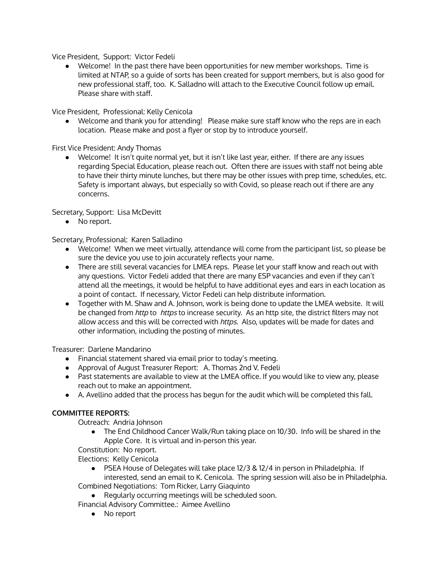Vice President, Support: Victor Fedeli

• Welcome! In the past there have been opportunities for new member workshops. Time is limited at NTAP, so a guide of sorts has been created for support members, but is also good for new professional staff, too. K. Salladno will attach to the Executive Council follow up email. Please share with staff.

Vice President, Professional: Kelly Cenicola

● Welcome and thank you for attending! Please make sure staff know who the reps are in each location. Please make and post a flyer or stop by to introduce yourself.

First Vice President: Andy Thomas

● Welcome! It isn't quite normal yet, but it isn't like last year, either. If there are any issues regarding Special Education, please reach out. Often there are issues with staff not being able to have their thirty minute lunches, but there may be other issues with prep time, schedules, etc. Safety is important always, but especially so with Covid, so please reach out if there are any concerns.

Secretary, Support: Lisa McDevitt

● No report.

Secretary, Professional: Karen Salladino

- Welcome! When we meet virtually, attendance will come from the participant list, so please be sure the device you use to join accurately reflects your name.
- There are still several vacancies for LMEA reps. Please let your staff know and reach out with any questions. Victor Fedeli added that there are many ESP vacancies and even if they can't attend all the meetings, it would be helpful to have additional eyes and ears in each location as a point of contact. If necessary, Victor Fedeli can help distribute information.
- Together with M. Shaw and A. Johnson, work is being done to update the LMEA website. It will be changed from *http* to *https* to increase security. As an http site, the district filters may not allow access and this will be corrected with https. Also, updates will be made for dates and other information, including the posting of minutes.

Treasurer: Darlene Mandarino

- Financial statement shared via email prior to today's meeting.
- Approval of August Treasurer Report: A. Thomas 2nd V. Fedeli
- Past statements are available to view at the LMEA office. If you would like to view any, please reach out to make an appointment.
- A. Avellino added that the process has begun for the audit which will be completed this fall.

# **COMMITTEE REPORTS:**

Outreach: Andria Johnson

● The End Childhood Cancer Walk/Run taking place on 10/30. Info will be shared in the Apple Core. It is virtual and in-person this year.

Constitution: No report.

Elections: Kelly Cenicola

- PSEA House of Delegates will take place 12/3 & 12/4 in person in Philadelphia. If interested, send an email to K. Cenicola. The spring session will also be in Philadelphia. Combined Negotiations: Tom Ricker, Larry Giaquinto
	- Regularly occurring meetings will be scheduled soon.

Financial Advisory Committee.: Aimee Avellino

● No report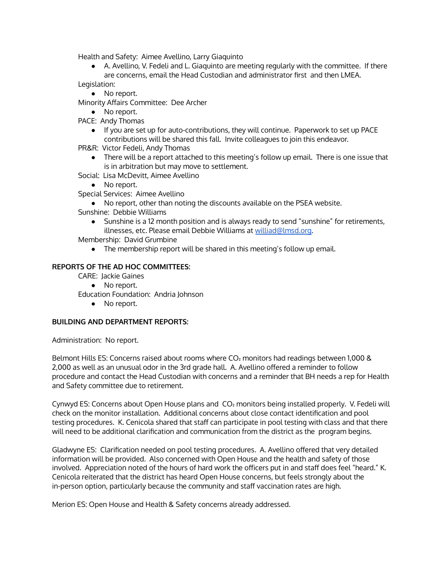Health and Safety: Aimee Avellino, Larry Giaquinto

● A. Avellino, V. Fedeli and L. Giaquinto are meeting regularly with the committee. If there are concerns, email the Head Custodian and administrator first and then LMEA.

Legislation:

● No report.

Minority Affairs Committee: Dee Archer

- No report.
- PACE: Andy Thomas
	- If you are set up for auto-contributions, they will continue. Paperwork to set up PACE contributions will be shared this fall. Invite colleagues to join this endeavor.
- PR&R: Victor Fedeli, Andy Thomas
	- There will be a report attached to this meeting's follow up email. There is one issue that is in arbitration but may move to settlement.
- Social: Lisa McDevitt, Aimee Avellino
	- No report.
- Special Services: Aimee Avellino
	- No report, other than noting the discounts available on the PSEA website.
- Sunshine: Debbie Williams
	- Sunshine is a 12 month position and is always ready to send "sunshine" for retirements, illnesses, etc. Please email Debbie Williams at [williad@lmsd.org.](mailto:williad@lmsd.org)

Membership: David Grumbine

● The membership report will be shared in this meeting's follow up email.

## **REPORTS OF THE AD HOC COMMITTEES:**

CARE: Jackie Gaines

### • No report.

Education Foundation: Andria Johnson

● No report.

### **BUILDING AND DEPARTMENT REPORTS:**

Administration: No report.

Belmont Hills ES: Concerns raised about rooms where CO<sub>2</sub> monitors had readings between 1,000 & 2,000 as well as an unusual odor in the 3rd grade hall. A. Avellino offered a reminder to follow procedure and contact the Head Custodian with concerns and a reminder that BH needs a rep for Health and Safety committee due to retirement.

Cynwyd ES: Concerns about Open House plans and CO₂ monitors being installed properly. V. Fedeli will check on the monitor installation. Additional concerns about close contact identification and pool testing procedures. K. Cenicola shared that staff can participate in pool testing with class and that there will need to be additional clarification and communication from the district as the program begins.

Gladwyne ES: Clarification needed on pool testing procedures. A. Avellino offered that very detailed information will be provided. Also concerned with Open House and the health and safety of those involved. Appreciation noted of the hours of hard work the officers put in and staff does feel "heard." K. Cenicola reiterated that the district has heard Open House concerns, but feels strongly about the in-person option, particularly because the community and staff vaccination rates are high.

Merion ES: Open House and Health & Safety concerns already addressed.